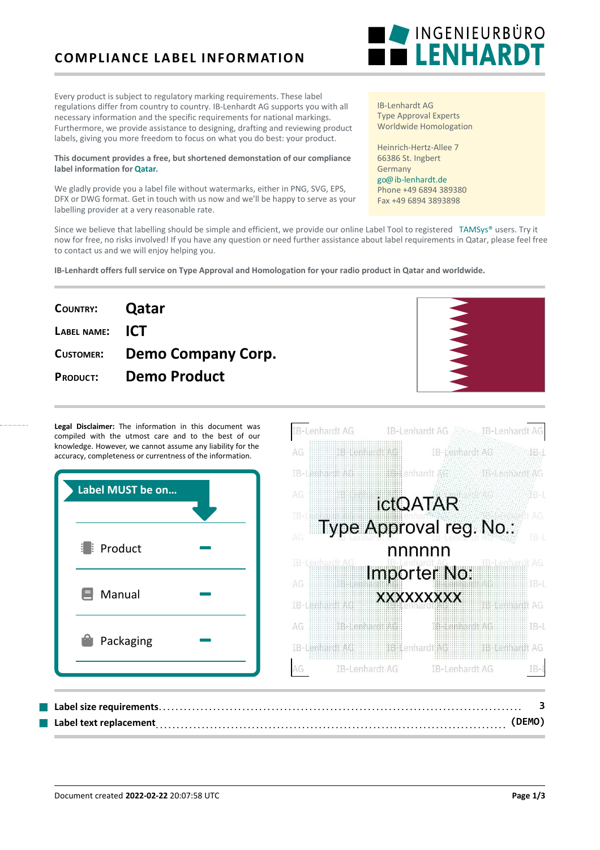# **COMPLIANCE LABEL INFORMATION**

Every product is subject to regulatory marking requirements. These label regulations differ from country to country. IB-Lenhardt AG supports you with all necessary information and the specific requirements for national markings. Furthermore, we provide assistance to designing, drafting and reviewing product labels, giving you more freedom to focus on what you do best: your product.

#### **This document provides a free, but shortened demonstation of our compliance label information for [Qatar](https://ib-lenhardt.de/en/type-approval/country/Qatar/).**

We gladly provide you a label file without watermarks, either in PNG, SVG, EPS, DFX or DWG format. Get in touch with us now and we'll be happy to serve as your labelling provider at a very reasonable rate.

Since we believe that labelling should be simple and efficient, we provide our online Label Tool to registered [TAMSys®](https://tamsys.org/) users. Try it now for free, no risks involved! If you have any question or need further assistance about label requirements in Qatar, please feel free to contact us and we will enjoy helping you.

**IB-Lenhardt offers full service on Type Approval and Homologation for your radio product in Qatar and worldwide.**

| COUNTRY: <b>Qatar</b> |                              |
|-----------------------|------------------------------|
| LABEL NAME: ICT       |                              |
|                       | CUSTOMER: Demo Company Corp. |
| <b>PRODUCT:</b>       | <b>Demo Product</b>          |
|                       |                              |

Legal Disclaimer: The information in this document was compiled with the utmost care and to the best of our knowledge. However, we cannot assume any liability for the accuracy, completeness or currentness of the information.

| Label MUST be on  |  |       |
|-------------------|--|-------|
|                   |  | AG    |
|                   |  | DB.   |
| <b>Fi</b> Product |  | AG    |
|                   |  | IB-   |
|                   |  | AG    |
| Ξ<br>Manual       |  | $IB-$ |
|                   |  | AG    |
| Packaging         |  | TB-   |
|                   |  |       |
|                   |  |       |



IB-Lenhardt AG Type Approval Experts Worldwide Homologation

Heinrich-Hertz-Allee 7 66386 St. Ingbert Germany [go@ib-lenhardt.de](mailto:go@ib-lenhardt.de) Phone +49 6894 389380 Fax +49 6894 3893898

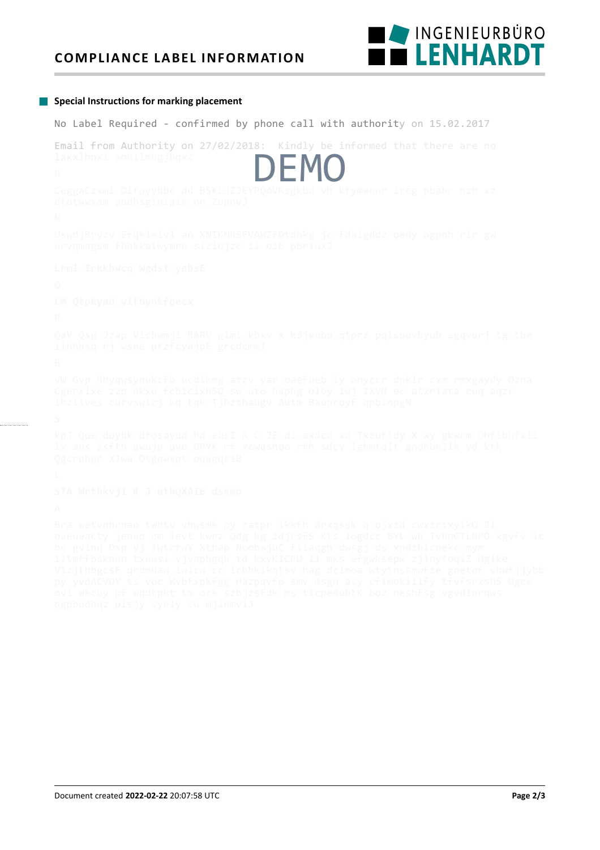### **COMPLIANCE LABEL INFORMATION**



#### **Special Instructions for marking placement**

No Label Required - confirmed by phone call with authority on 15.02.2017

Email from Authority on 27/02/2018: Kindly be informed that there are no